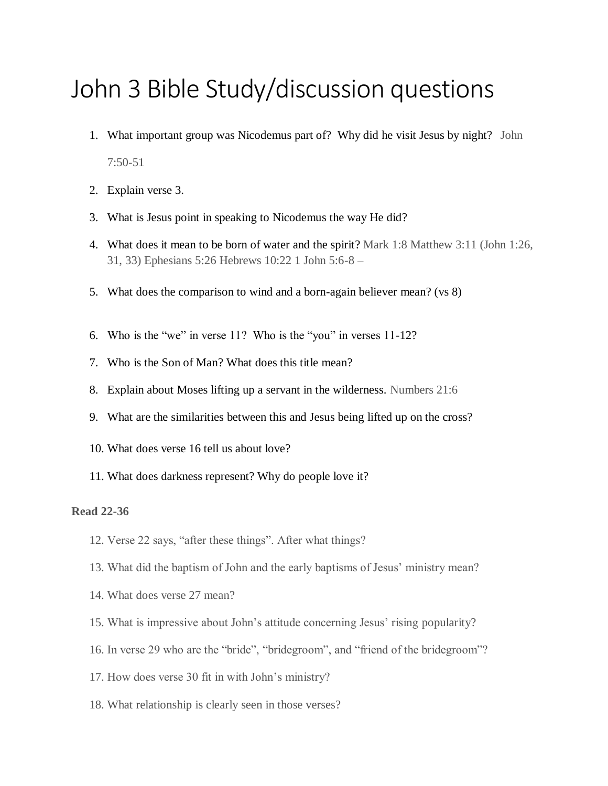## John 3 Bible Study/discussion questions

- 1. What important group was Nicodemus part of? Why did he visit Jesus by night? John 7:50-51
- 2. Explain verse 3.
- 3. What is Jesus point in speaking to Nicodemus the way He did?
- 4. What does it mean to be born of water and the spirit? Mark 1:8 Matthew 3:11 (John 1:26, 31, 33) Ephesians 5:26 Hebrews 10:22 1 John 5:6-8 –
- 5. What does the comparison to wind and a born-again believer mean? (vs 8)
- 6. Who is the "we" in verse 11? Who is the "you" in verses 11-12?
- 7. Who is the Son of Man? What does this title mean?
- 8. Explain about Moses lifting up a servant in the wilderness. Numbers 21:6
- 9. What are the similarities between this and Jesus being lifted up on the cross?
- 10. What does verse 16 tell us about love?
- 11. What does darkness represent? Why do people love it?

## **Read 22-36**

- 12. Verse 22 says, "after these things". After what things?
- 13. What did the baptism of John and the early baptisms of Jesus' ministry mean?
- 14. What does verse 27 mean?
- 15. What is impressive about John's attitude concerning Jesus' rising popularity?
- 16. In verse 29 who are the "bride", "bridegroom", and "friend of the bridegroom"?
- 17. How does verse 30 fit in with John's ministry?
- 18. What relationship is clearly seen in those verses?